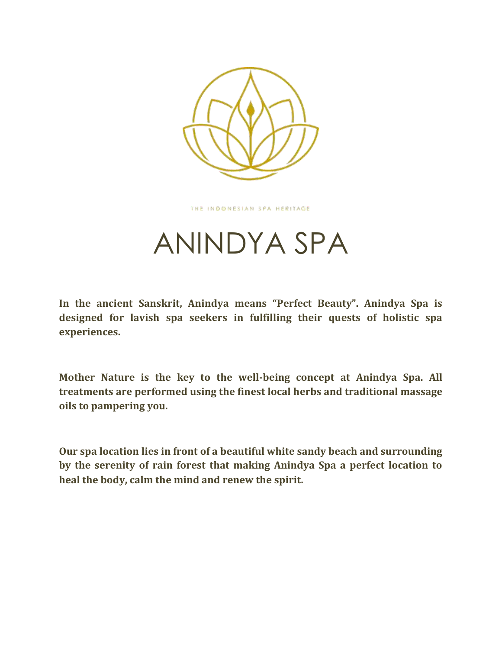

THE INDONESIAN SPA HERITAGE

# ANINDYA SPA

**In the ancient Sanskrit, Anindya means "Perfect Beauty". Anindya Spa is designed for lavish spa seekers in fulfilling their quests of holistic spa experiences.** 

**Mother Nature is the key to the well-being concept at Anindya Spa. All treatments are performed using the finest local herbs and traditional massage oils to pampering you.**

**Our spa location lies in front of a beautiful white sandy beach and surrounding by the serenity of rain forest that making Anindya Spa a perfect location to heal the body, calm the mind and renew the spirit.**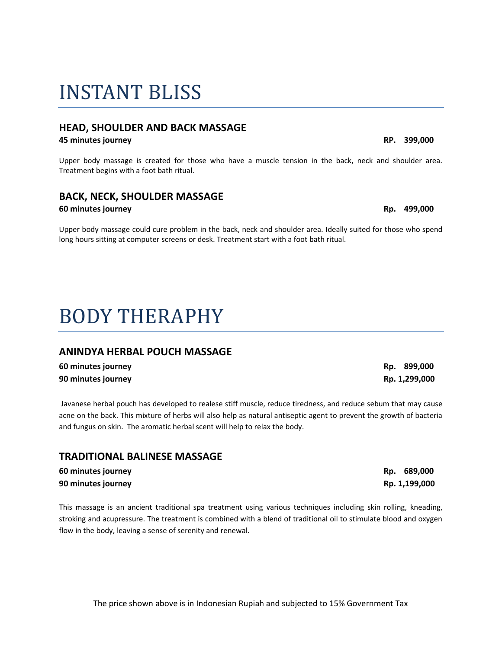# INSTANT BLISS

### **HEAD, SHOULDER AND BACK MASSAGE**

#### **45 minutes journey RP. 399,000**

Upper body massage is created for those who have a muscle tension in the back, neck and shoulder area. Treatment begins with a foot bath ritual.

### **BACK, NECK, SHOULDER MASSAGE**

#### **60 minutes journey Rp. 499,000**

Upper body massage could cure problem in the back, neck and shoulder area. Ideally suited for those who spend long hours sitting at computer screens or desk. Treatment start with a foot bath ritual.

# BODY THERAPHY

### **ANINDYA HERBAL POUCH MASSAGE**

| 60 minutes journey |  |
|--------------------|--|
| 90 minutes journey |  |

Javanese herbal pouch has developed to realese stiff muscle, reduce tiredness, and reduce sebum that may cause acne on the back. This mixture of herbs will also help as natural antiseptic agent to prevent the growth of bacteria and fungus on skin. The aromatic herbal scent will help to relax the body.

### **TRADITIONAL BALINESE MASSAGE**

| 60 minutes journey | Rp. 689,000   |
|--------------------|---------------|
| 90 minutes journey | Rp. 1,199,000 |

This massage is an ancient traditional spa treatment using various techniques including skin rolling, kneading, stroking and acupressure. The treatment is combined with a blend of traditional oil to stimulate blood and oxygen flow in the body, leaving a sense of serenity and renewal.

**60 minutes journey Rp. 899,000 90 minutes journey Rp. 1,299,000**

**90 minutes journey Rp. 1,199,000**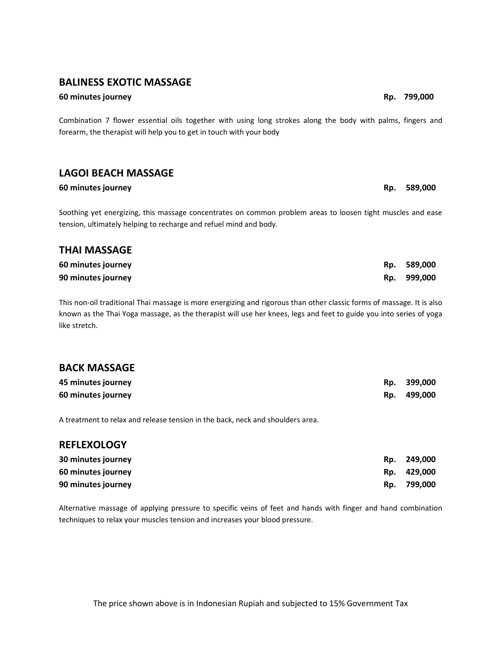#### **BALINESS EXOTIC MASSAGE**

#### **60 minutes journey Rp. 799,000**

Combination 7 flower essential oils together with using long strokes along the body with palms, fingers and forearm, the therapist will help you to get in touch with your body

### **LAGOI BEACH MASSAGE**

#### **60 minutes journey Rp. 589,000**

Soothing yet energizing, this massage concentrates on common problem areas to loosen tight muscles and ease tension, ultimately helping to recharge and refuel mind and body.

## **THAI MASSAGE**

| 60 minutes journey | Rp. | 589,000     |
|--------------------|-----|-------------|
| 90 minutes journey |     | Rp. 999,000 |

This non-oil traditional Thai massage is more energizing and rigorous than other classic forms of massage. It is also known as the Thai Yoga massage, as the therapist will use her knees, legs and feet to guide you into series of yoga like stretch.

#### **BACK MASSAGE**

| 45 minutes journey | Rp. | 399,000 |
|--------------------|-----|---------|
| 60 minutes journey | Rp. | 499,000 |

A treatment to relax and release tension in the back, neck and shoulders area.

#### **REFLEXOLOGY**

| 30 minutes journey | Rp. | 249,000     |
|--------------------|-----|-------------|
| 60 minutes journey |     | Rp. 429,000 |
| 90 minutes journey | Rp. | 799,000     |

Alternative massage of applying pressure to specific veins of feet and hands with finger and hand combination techniques to relax your muscles tension and increases your blood pressure.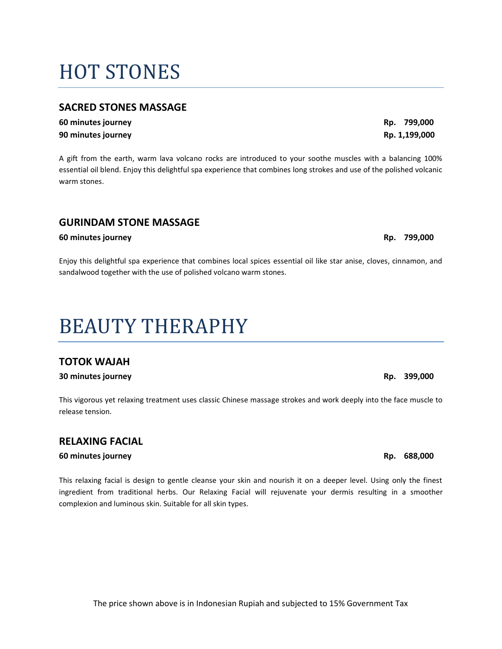#### The price shown above is in Indonesian Rupiah and subjected to 15% Government Tax

# HOT STONES

### **SACRED STONES MASSAGE**

**60 minutes journey Rp. 799,000 90 minutes journey Rp. 1,199,000**

A gift from the earth, warm lava volcano rocks are introduced to your soothe muscles with a balancing 100% essential oil blend. Enjoy this delightful spa experience that combines long strokes and use of the polished volcanic warm stones.

### **GURINDAM STONE MASSAGE**

#### **60 minutes journey Rp. 799,000**

Enjoy this delightful spa experience that combines local spices essential oil like star anise, cloves, cinnamon, and sandalwood together with the use of polished volcano warm stones.

# BEAUTY THERAPHY

### **TOTOK WAJAH**

#### **30 minutes journey Rp. 399,000**

This vigorous yet relaxing treatment uses classic Chinese massage strokes and work deeply into the face muscle to release tension.

### **RELAXING FACIAL**

#### **60 minutes journey Rp. 688,000**

This relaxing facial is design to gentle cleanse your skin and nourish it on a deeper level. Using only the finest ingredient from traditional herbs. Our Relaxing Facial will rejuvenate your dermis resulting in a smoother complexion and luminous skin. Suitable for all skin types.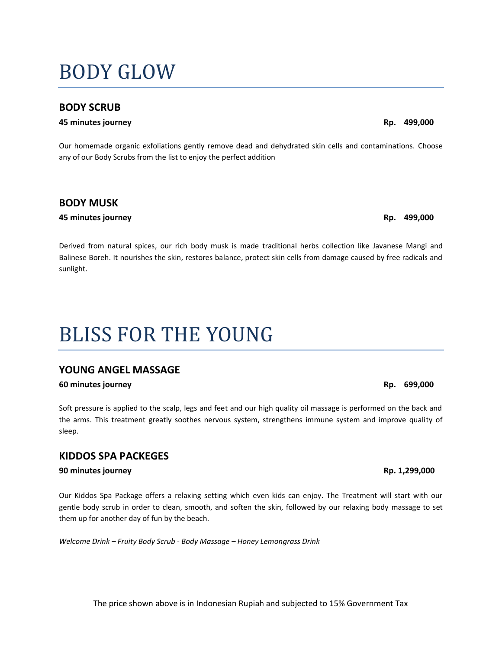# BODY GLOW

#### **BODY SCRUB**

#### **45 minutes journey Rp. 499,000**

Our homemade organic exfoliations gently remove dead and dehydrated skin cells and contaminations. Choose any of our Body Scrubs from the list to enjoy the perfect addition

#### **BODY MUSK**

#### **45 minutes journey Rp. 499,000**

Derived from natural spices, our rich body musk is made traditional herbs collection like Javanese Mangi and Balinese Boreh. It nourishes the skin, restores balance, protect skin cells from damage caused by free radicals and sunlight.

# BLISS FOR THE YOUNG

#### **YOUNG ANGEL MASSAGE**

#### **60 minutes journey Rp. 699,000**

Soft pressure is applied to the scalp, legs and feet and our high quality oil massage is performed on the back and the arms. This treatment greatly soothes nervous system, strengthens immune system and improve quality of sleep.

#### **KIDDOS SPA PACKEGES**

#### **90 minutes journey Rp. 1,299,000**

Our Kiddos Spa Package offers a relaxing setting which even kids can enjoy. The Treatment will start with our gentle body scrub in order to clean, smooth, and soften the skin, followed by our relaxing body massage to set them up for another day of fun by the beach.

*Welcome Drink – Fruity Body Scrub - Body Massage – Honey Lemongrass Drink*

The price shown above is in Indonesian Rupiah and subjected to 15% Government Tax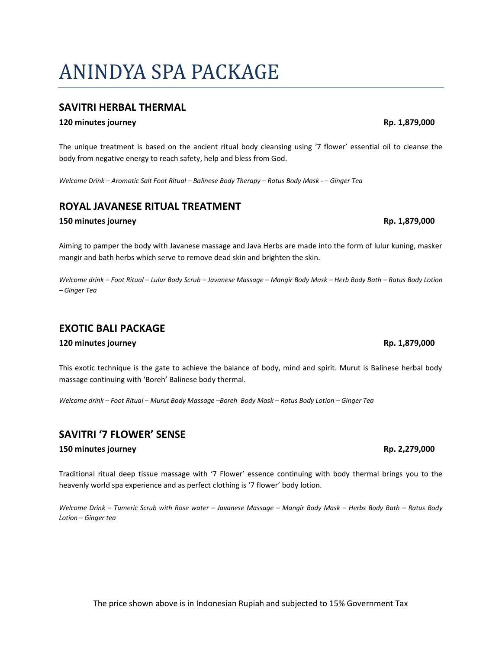#### The price shown above is in Indonesian Rupiah and subjected to 15% Government Tax

# ANINDYA SPA PACKAGE

#### **SAVITRI HERBAL THERMAL**

#### **120 minutes journey Rp. 1,879,000**

The unique treatment is based on the ancient ritual body cleansing using '7 flower' essential oil to cleanse the body from negative energy to reach safety, help and bless from God.

*Welcome Drink – Aromatic Salt Foot Ritual – Balinese Body Therapy – Ratus Body Mask - – Ginger Tea*

#### **ROYAL JAVANESE RITUAL TREATMENT**

#### **150 minutes journey Rp. 1,879,000**

Aiming to pamper the body with Javanese massage and Java Herbs are made into the form of lulur kuning, masker mangir and bath herbs which serve to remove dead skin and brighten the skin.

*Welcome drink – Foot Ritual – Lulur Body Scrub – Javanese Massage – Mangir Body Mask – Herb Body Bath – Ratus Body Lotion – Ginger Tea*

#### **EXOTIC BALI PACKAGE**

#### **120 minutes journey Rp. 1,879,000**

This exotic technique is the gate to achieve the balance of body, mind and spirit. Murut is Balinese herbal body massage continuing with 'Boreh' Balinese body thermal.

*Welcome drink – Foot Ritual – Murut Body Massage –Boreh Body Mask – Ratus Body Lotion – Ginger Tea*

#### **SAVITRI '7 FLOWER' SENSE**

#### **150 minutes journey Rp. 2,279,000**

Traditional ritual deep tissue massage with '7 Flower' essence continuing with body thermal brings you to the heavenly world spa experience and as perfect clothing is '7 flower' body lotion.

*Welcome Drink – Tumeric Scrub with Rose water – Javanese Massage – Mangir Body Mask – Herbs Body Bath – Ratus Body Lotion – Ginger tea*